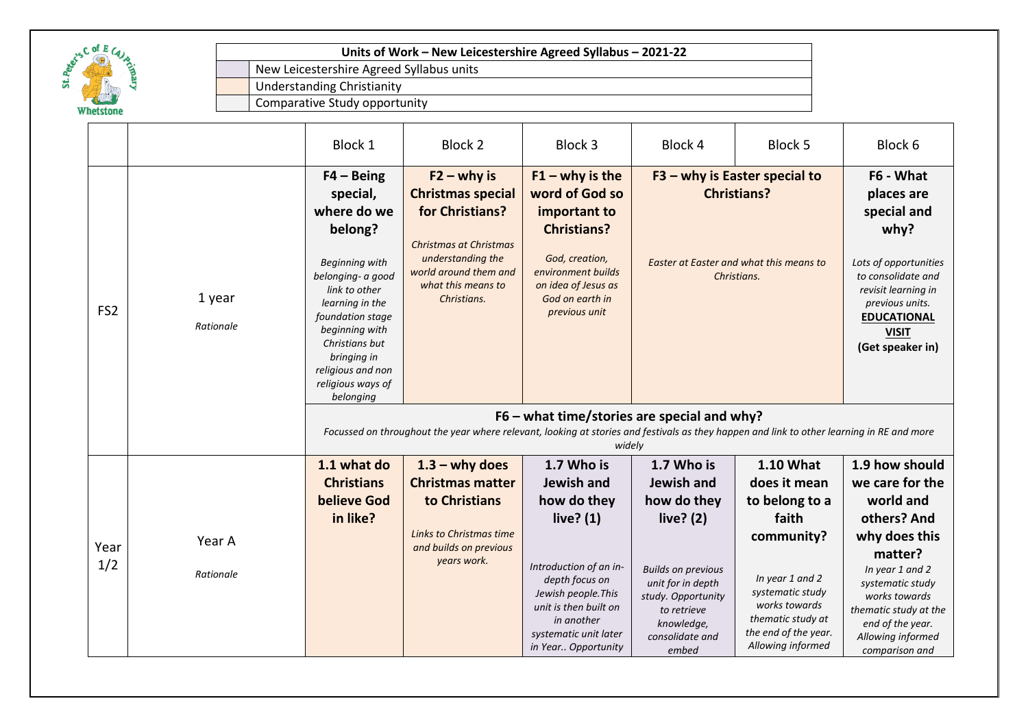

New Leicestershire Agreed Syllabus units Understanding Christianity

|                 |                     | Block 1                                                                                                                                                                                                                                                            | Block 2                                                                                                                                                                          | Block 3                                                                                                                                                                                                          | Block 4                                                                                                                                                                                 | Block 5                                                                                                                                                                                             | Block 6                                                                                                                                                                                                                               |
|-----------------|---------------------|--------------------------------------------------------------------------------------------------------------------------------------------------------------------------------------------------------------------------------------------------------------------|----------------------------------------------------------------------------------------------------------------------------------------------------------------------------------|------------------------------------------------------------------------------------------------------------------------------------------------------------------------------------------------------------------|-----------------------------------------------------------------------------------------------------------------------------------------------------------------------------------------|-----------------------------------------------------------------------------------------------------------------------------------------------------------------------------------------------------|---------------------------------------------------------------------------------------------------------------------------------------------------------------------------------------------------------------------------------------|
| FS <sub>2</sub> | 1 year<br>Rationale | $F4 - Being$<br>special,<br>where do we<br>belong?<br><b>Beginning with</b><br>belonging- a good<br>link to other<br>learning in the<br>foundation stage<br>beginning with<br>Christians but<br>bringing in<br>religious and non<br>religious ways of<br>belonging | $F2 - why$ is<br><b>Christmas special</b><br>for Christians?<br><b>Christmas at Christmas</b><br>understanding the<br>world around them and<br>what this means to<br>Christians. | $F1 - why$ is the<br>word of God so<br>important to<br><b>Christians?</b><br>God, creation,<br>environment builds<br>on idea of Jesus as<br>God on earth in<br>previous unit                                     | $F3 - why$ is Easter special to<br><b>Christians?</b><br>Easter at Easter and what this means to<br>Christians.                                                                         |                                                                                                                                                                                                     | F6 - What<br>places are<br>special and<br>why?<br>Lots of opportunities<br>to consolidate and<br>revisit learning in<br>previous units.<br><b>EDUCATIONAL</b><br><b>VISIT</b><br>(Get speaker in)                                     |
|                 |                     | $F6$ – what time/stories are special and why?<br>Focussed on throughout the year where relevant, looking at stories and festivals as they happen and link to other learning in RE and more<br>widely                                                               |                                                                                                                                                                                  |                                                                                                                                                                                                                  |                                                                                                                                                                                         |                                                                                                                                                                                                     |                                                                                                                                                                                                                                       |
| Year<br>1/2     | Year A<br>Rationale | 1.1 what do<br><b>Christians</b><br><b>believe God</b><br>in like?                                                                                                                                                                                                 | $1.3 -$ why does<br><b>Christmas matter</b><br>to Christians<br>Links to Christmas time<br>and builds on previous<br>years work.                                                 | 1.7 Who is<br>Jewish and<br>how do they<br>live? $(1)$<br>Introduction of an in-<br>depth focus on<br>Jewish people. This<br>unit is then built on<br>in another<br>systematic unit later<br>in Year Opportunity | 1.7 Who is<br>Jewish and<br>how do they<br>live? $(2)$<br><b>Builds on previous</b><br>unit for in depth<br>study. Opportunity<br>to retrieve<br>knowledge,<br>consolidate and<br>embed | <b>1.10 What</b><br>does it mean<br>to belong to a<br>faith<br>community?<br>In year 1 and 2<br>systematic study<br>works towards<br>thematic study at<br>the end of the year.<br>Allowing informed | 1.9 how should<br>we care for the<br>world and<br>others? And<br>why does this<br>matter?<br>In year 1 and 2<br>systematic study<br>works towards<br>thematic study at the<br>end of the year.<br>Allowing informed<br>comparison and |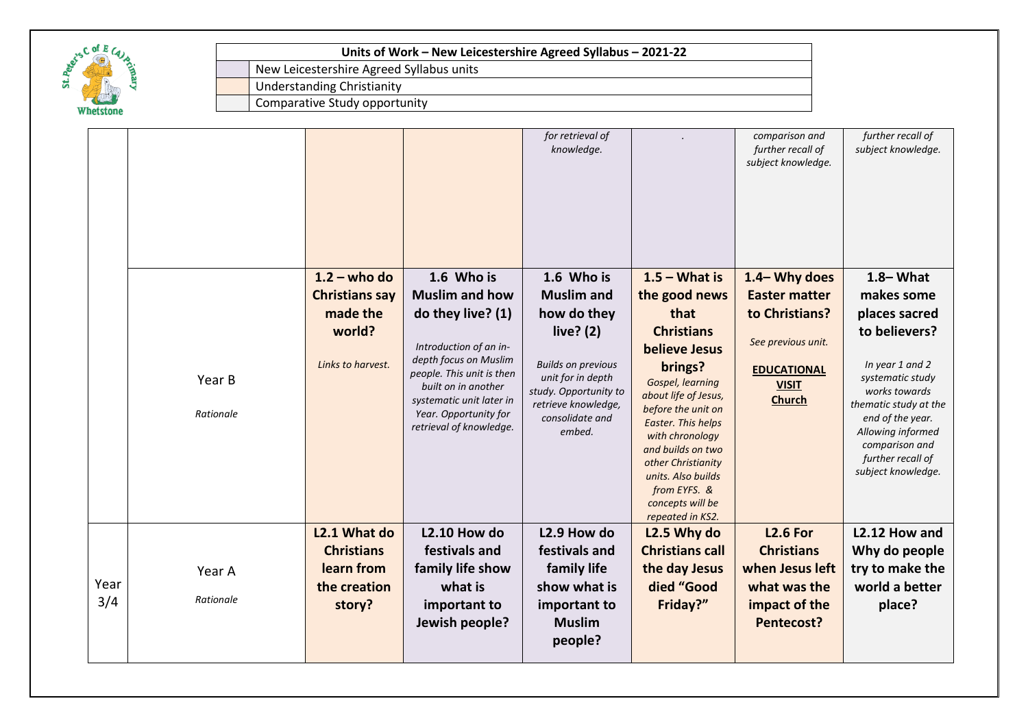

New Leicestershire Agreed Syllabus units

Understanding Christianity

|      |           |                       |                                                                                                       | for retrieval of<br>knowledge.                                                                 |                                                                                  | comparison and<br>further recall of<br>subject knowledge. | further recall of<br>subject knowledge.                                       |
|------|-----------|-----------------------|-------------------------------------------------------------------------------------------------------|------------------------------------------------------------------------------------------------|----------------------------------------------------------------------------------|-----------------------------------------------------------|-------------------------------------------------------------------------------|
|      |           | $1.2 -$ who do        | 1.6 Who is                                                                                            | 1.6 Who is                                                                                     | $1.5 - What is$                                                                  | 1.4-Why does                                              | $1.8 - What$                                                                  |
|      |           | <b>Christians say</b> | <b>Muslim and how</b>                                                                                 | <b>Muslim</b> and                                                                              | the good news                                                                    | <b>Easter matter</b>                                      | makes some                                                                    |
|      |           | made the              | do they live? (1)                                                                                     | how do they                                                                                    | that                                                                             | to Christians?                                            | places sacred                                                                 |
|      | Year B    | world?                | Introduction of an in-                                                                                | live? $(2)$                                                                                    | <b>Christians</b><br><b>believe Jesus</b>                                        | See previous unit.                                        | to believers?                                                                 |
|      |           | Links to harvest.     | depth focus on Muslim<br>people. This unit is then<br>built on in another<br>systematic unit later in | <b>Builds on previous</b><br>unit for in depth<br>study. Opportunity to<br>retrieve knowledge, | brings?<br>Gospel, learning<br>about life of Jesus,<br>before the unit on        | <b>EDUCATIONAL</b><br><b>VISIT</b><br><b>Church</b>       | In year 1 and 2<br>systematic study<br>works towards<br>thematic study at the |
|      | Rationale |                       | Year. Opportunity for<br>retrieval of knowledge.                                                      | consolidate and<br>embed.                                                                      | Easter. This helps<br>with chronology<br>and builds on two<br>other Christianity |                                                           | end of the year.<br>Allowing informed<br>comparison and<br>further recall of  |
|      |           |                       |                                                                                                       |                                                                                                | units. Also builds<br>from EYFS. &<br>concepts will be                           |                                                           | subject knowledge.                                                            |
|      |           | L2.1 What do          | <b>L2.10 How do</b>                                                                                   | L2.9 How do                                                                                    | repeated in KS2.<br>L2.5 Why do                                                  | <b>L2.6 For</b>                                           | L2.12 How and                                                                 |
|      |           | <b>Christians</b>     | festivals and                                                                                         | festivals and                                                                                  | <b>Christians call</b>                                                           | <b>Christians</b>                                         | Why do people                                                                 |
|      | Year A    | learn from            | family life show                                                                                      | family life                                                                                    | the day Jesus                                                                    | when Jesus left                                           | try to make the                                                               |
| Year |           | the creation          | what is                                                                                               | show what is                                                                                   | died "Good                                                                       | what was the                                              | world a better                                                                |
| 3/4  | Rationale | story?                | important to<br>Jewish people?                                                                        | important to<br><b>Muslim</b><br>people?                                                       | Friday?"                                                                         | impact of the<br>Pentecost?                               | place?                                                                        |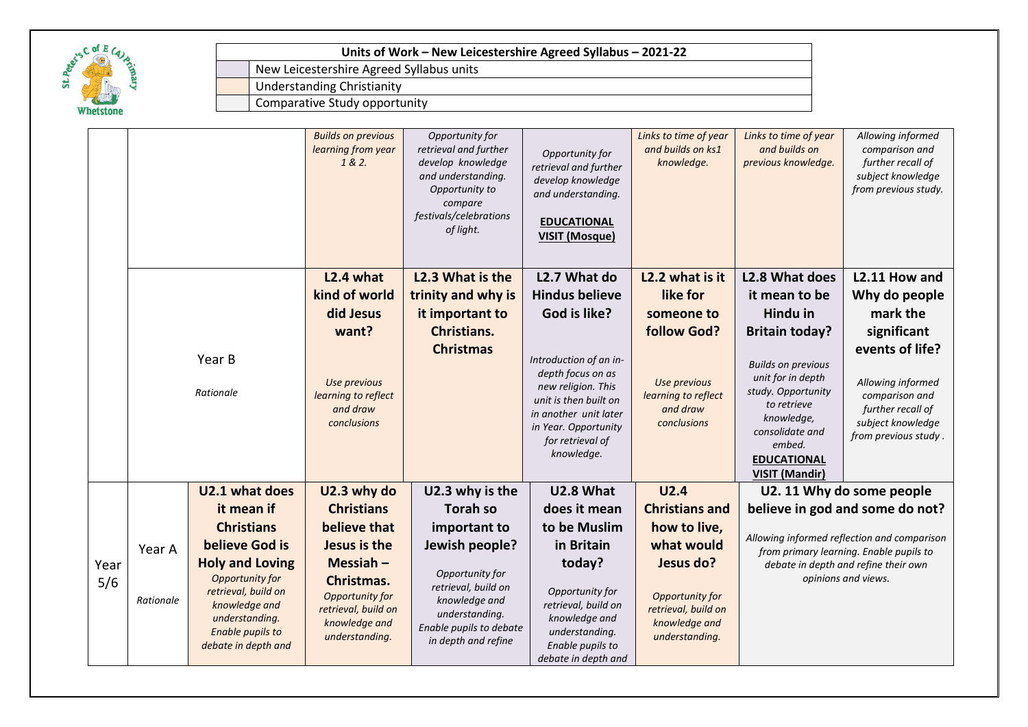

New Leicestershire Agreed Syllabus units

Understanding Christianity

|             |           |                                                                                                   | <b>Builds on previous</b><br>learning from year<br>1 & 2.                               | Opportunity for<br>retrieval and further<br>develop knowledge<br>and understanding.<br>Opportunity to<br>compare<br>festivals/celebrations<br>of light. | Opportunity for<br>retrieval and further<br>develop knowledge<br>and understanding.<br><b>EDUCATIONAL</b><br><b>VISIT (Mosque)</b>                                            | Links to time of year<br>and builds on ks1<br>knowledge.                  | Links to time of year<br>and builds on<br>previous knowledge.                                                                                                                 | Allowing informed<br>comparison and<br>further recall of<br>subject knowledge<br>from previous study.                    |
|-------------|-----------|---------------------------------------------------------------------------------------------------|-----------------------------------------------------------------------------------------|---------------------------------------------------------------------------------------------------------------------------------------------------------|-------------------------------------------------------------------------------------------------------------------------------------------------------------------------------|---------------------------------------------------------------------------|-------------------------------------------------------------------------------------------------------------------------------------------------------------------------------|--------------------------------------------------------------------------------------------------------------------------|
|             |           |                                                                                                   | L <sub>2.4</sub> what                                                                   | L2.3 What is the                                                                                                                                        | L2.7 What do                                                                                                                                                                  | L2.2 what is it                                                           | L2.8 What does                                                                                                                                                                | L2.11 How and                                                                                                            |
|             |           |                                                                                                   | kind of world                                                                           | trinity and why is                                                                                                                                      | <b>Hindus believe</b>                                                                                                                                                         | like for                                                                  | it mean to be                                                                                                                                                                 | Why do people                                                                                                            |
|             |           |                                                                                                   | did Jesus                                                                               | it important to                                                                                                                                         | God is like?                                                                                                                                                                  | someone to                                                                | Hindu in                                                                                                                                                                      | mark the                                                                                                                 |
|             |           |                                                                                                   | want?                                                                                   | <b>Christians.</b>                                                                                                                                      |                                                                                                                                                                               | follow God?                                                               | <b>Britain today?</b>                                                                                                                                                         | significant                                                                                                              |
|             |           | Year B<br>Rationale                                                                               | Use previous<br>learning to reflect<br>and draw<br>conclusions                          | <b>Christmas</b>                                                                                                                                        | Introduction of an in-<br>depth focus on as<br>new religion. This<br>unit is then built on<br>in another unit later<br>in Year. Opportunity<br>for retrieval of<br>knowledge. | Use previous<br>learning to reflect<br>and draw<br>conclusions            | <b>Builds on previous</b><br>unit for in depth<br>study. Opportunity<br>to retrieve<br>knowledge,<br>consolidate and<br>embed.<br><b>EDUCATIONAL</b><br><b>VISIT (Mandir)</b> | events of life?<br>Allowing informed<br>comparison and<br>further recall of<br>subject knowledge<br>from previous study. |
|             |           | U2.1 what does                                                                                    | U2.3 why do                                                                             | U2.3 why is the                                                                                                                                         | U2.8 What                                                                                                                                                                     | U2.4                                                                      |                                                                                                                                                                               | U2. 11 Why do some people                                                                                                |
|             |           | it mean if                                                                                        | <b>Christians</b>                                                                       | <b>Torah so</b>                                                                                                                                         | does it mean                                                                                                                                                                  | <b>Christians and</b>                                                     |                                                                                                                                                                               | believe in god and some do not?                                                                                          |
| Year<br>5/6 | Year A    | <b>Christians</b><br>believe God is                                                               | believe that<br>Jesus is the                                                            | important to<br>Jewish people?                                                                                                                          | to be Muslim<br>in Britain                                                                                                                                                    | how to live,<br>what would                                                | Allowing informed reflection and comparison<br>from primary learning. Enable pupils to                                                                                        |                                                                                                                          |
|             |           | <b>Holy and Loving</b><br>Opportunity for                                                         | Messiah-                                                                                | Opportunity for                                                                                                                                         | today?                                                                                                                                                                        | Jesus do?                                                                 |                                                                                                                                                                               | debate in depth and refine their own<br>opinions and views.                                                              |
|             | Rationale | retrieval, build on<br>knowledge and<br>understanding.<br>Enable pupils to<br>debate in depth and | Christmas.<br>Opportunity for<br>retrieval, build on<br>knowledge and<br>understanding. | retrieval, build on<br>knowledge and<br>understanding.<br>Enable pupils to debate<br>in depth and refine                                                | Opportunity for<br>retrieval, build on<br>knowledge and<br>understanding.<br>Enable pupils to<br>debate in depth and                                                          | Opportunity for<br>retrieval, build on<br>knowledge and<br>understanding. |                                                                                                                                                                               |                                                                                                                          |